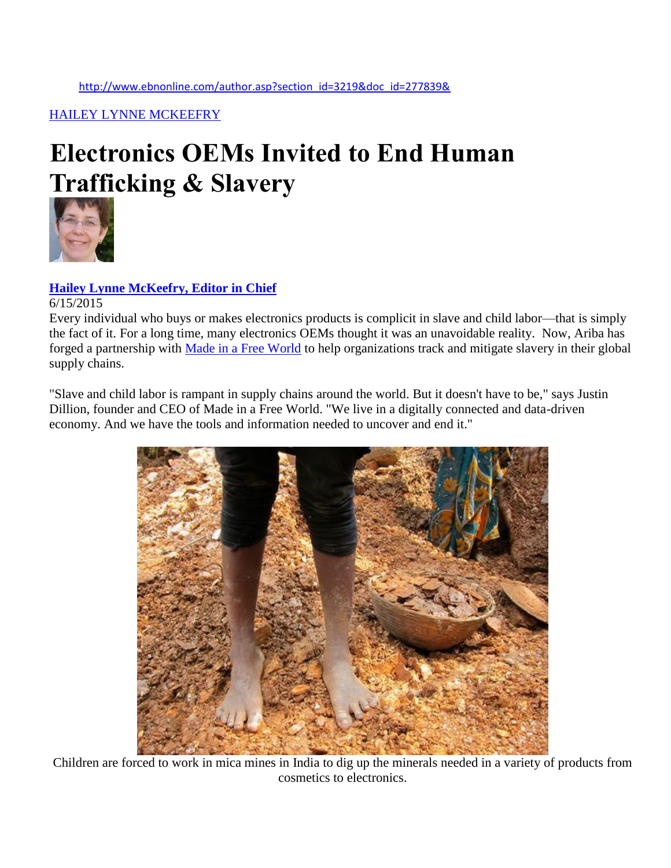[HAILEY LYNNE MCKEEFRY](http://www.ebnonline.com/archives.asp?section_id=3219)

## **Electronics OEMs Invited to End Human Trafficking & Slavery**



## **[Hailey Lynne McKeefry, Editor in Chief](http://www.ebnonline.com/bloggers.asp#Hailey_Lynne_McKeefry)**

## 6/15/2015

Every individual who buys or makes electronics products is complicit in slave and child labor—that is simply the fact of it. For a long time, many electronics OEMs thought it was an unavoidable reality. Now, Ariba has forged a partnership with [Made in a Free World](http://www.madeinafreeworld.com/) to help organizations track and mitigate slavery in their global supply chains.

"Slave and child labor is rampant in supply chains around the world. But it doesn't have to be," says Justin Dillion, founder and CEO of Made in a Free World. "We live in a digitally connected and data-driven economy. And we have the tools and information needed to uncover and end it."



Children are forced to work in mica mines in India to dig up the minerals needed in a variety of products from cosmetics to electronics.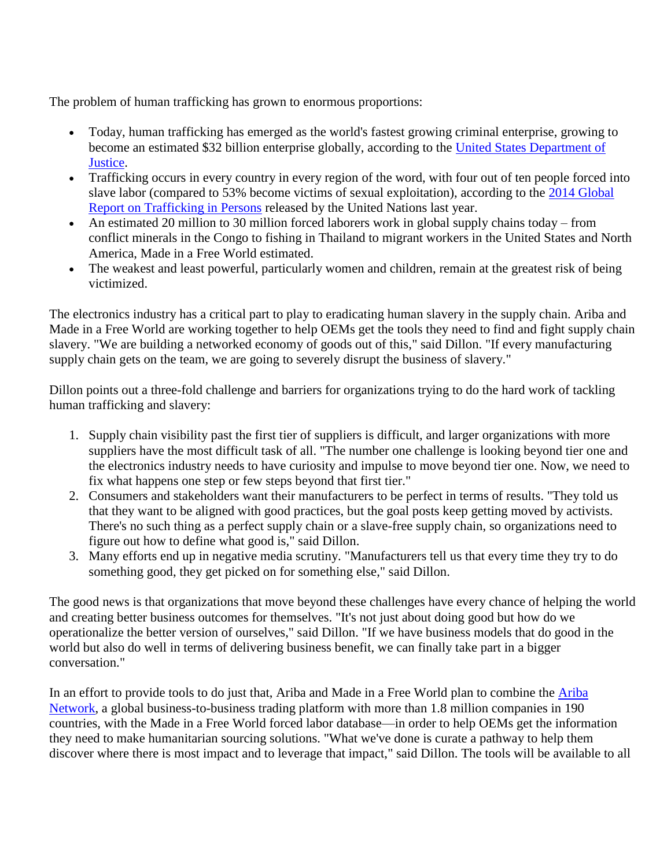The problem of human trafficking has grown to enormous proportions:

- Today, human trafficking has emerged as the world's fastest growing criminal enterprise, growing to become an estimated \$32 billion enterprise globally, according to the [United States Department of](http://oag.ca.gov/human-trafficking)  [Justice.](http://oag.ca.gov/human-trafficking)
- Trafficking occurs in every country in every region of the word, with four out of ten people forced into slave labor (compared to 53% become victims of sexual exploitation), according to the [2014 Global](http://www.unodc.org/documents/data-and-analysis/glotip/GLOTIP_2014_full_report.pdf)  [Report on Trafficking in Persons](http://www.unodc.org/documents/data-and-analysis/glotip/GLOTIP_2014_full_report.pdf) released by the United Nations last year.
- An estimated 20 million to 30 million forced laborers work in global supply chains today from conflict minerals in the Congo to fishing in Thailand to migrant workers in the United States and North America, Made in a Free World estimated.
- The weakest and least powerful, particularly women and children, remain at the greatest risk of being victimized.

The electronics industry has a critical part to play to eradicating human slavery in the supply chain. Ariba and Made in a Free World are working together to help OEMs get the tools they need to find and fight supply chain slavery. "We are building a networked economy of goods out of this," said Dillon. "If every manufacturing supply chain gets on the team, we are going to severely disrupt the business of slavery."

Dillon points out a three-fold challenge and barriers for organizations trying to do the hard work of tackling human trafficking and slavery:

- 1. Supply chain visibility past the first tier of suppliers is difficult, and larger organizations with more suppliers have the most difficult task of all. "The number one challenge is looking beyond tier one and the electronics industry needs to have curiosity and impulse to move beyond tier one. Now, we need to fix what happens one step or few steps beyond that first tier."
- 2. Consumers and stakeholders want their manufacturers to be perfect in terms of results. "They told us that they want to be aligned with good practices, but the goal posts keep getting moved by activists. There's no such thing as a perfect supply chain or a slave-free supply chain, so organizations need to figure out how to define what good is," said Dillon.
- 3. Many efforts end up in negative media scrutiny. "Manufacturers tell us that every time they try to do something good, they get picked on for something else," said Dillon.

The good news is that organizations that move beyond these challenges have every chance of helping the world and creating better business outcomes for themselves. "It's not just about doing good but how do we operationalize the better version of ourselves," said Dillon. "If we have business models that do good in the world but also do well in terms of delivering business benefit, we can finally take part in a bigger conversation."

In an effort to provide tools to do just that, Ariba and Made in a Free World plan to combine the [Ariba](http://cts.businesswire.com/ct/CT?id=smartlink&url=http%3A%2F%2Fwww.ariba.com%2Fsolutions%2Fthe-ariba-network.com&esheet=51119627&newsitemid=20150610005032&lan=en-US&anchor=Ariba+Network&index=5&md5=0b210729cae62e5e92d28e51f498d6df)  [Network,](http://cts.businesswire.com/ct/CT?id=smartlink&url=http%3A%2F%2Fwww.ariba.com%2Fsolutions%2Fthe-ariba-network.com&esheet=51119627&newsitemid=20150610005032&lan=en-US&anchor=Ariba+Network&index=5&md5=0b210729cae62e5e92d28e51f498d6df) a global business-to-business trading platform with more than 1.8 million companies in 190 countries, with the Made in a Free World forced labor database—in order to help OEMs get the information they need to make humanitarian sourcing solutions. "What we've done is curate a pathway to help them discover where there is most impact and to leverage that impact," said Dillon. The tools will be available to all